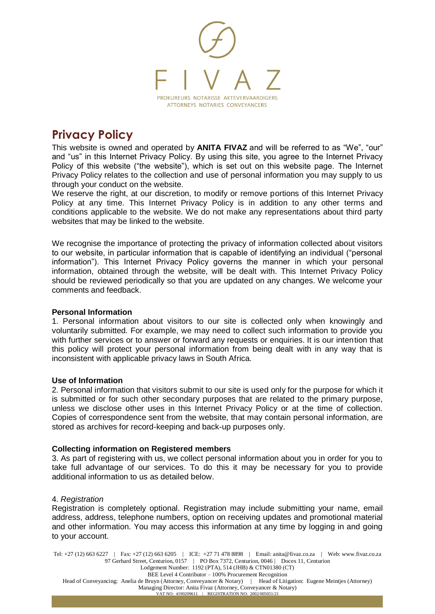

# **Privacy Policy**

This website is owned and operated by **ANITA FIVAZ** and will be referred to as "We", "our" and "us" in this Internet Privacy Policy. By using this site, you agree to the Internet Privacy Policy of this website ("the website"), which is set out on this website page. The Internet Privacy Policy relates to the collection and use of personal information you may supply to us through your conduct on the website.

We reserve the right, at our discretion, to modify or remove portions of this Internet Privacy Policy at any time. This Internet Privacy Policy is in addition to any other terms and conditions applicable to the website. We do not make any representations about third party websites that may be linked to the website.

We recognise the importance of protecting the privacy of information collected about visitors to our website, in particular information that is capable of identifying an individual ("personal information"). This Internet Privacy Policy governs the manner in which your personal information, obtained through the website, will be dealt with. This Internet Privacy Policy should be reviewed periodically so that you are updated on any changes. We welcome your comments and feedback.

# **Personal Information**

1. Personal information about visitors to our site is collected only when knowingly and voluntarily submitted. For example, we may need to collect such information to provide you with further services or to answer or forward any requests or enquiries. It is our intention that this policy will protect your personal information from being dealt with in any way that is inconsistent with applicable privacy laws in South Africa.

# **Use of Information**

2. Personal information that visitors submit to our site is used only for the purpose for which it is submitted or for such other secondary purposes that are related to the primary purpose, unless we disclose other uses in this Internet Privacy Policy or at the time of collection. Copies of correspondence sent from the website, that may contain personal information, are stored as archives for record-keeping and back-up purposes only.

# **Collecting information on Registered members**

3. As part of registering with us, we collect personal information about you in order for you to take full advantage of our services. To do this it may be necessary for you to provide additional information to us as detailed below.

# 4. *Registration*

Registration is completely optional. Registration may include submitting your name, email address, address, telephone numbers, option on receiving updates and promotional material and other information. You may access this information at any time by logging in and going to your account.

Tel: +27 (12) 663 6227 | Fax: +27 (12) 663 6205 | ICE: +27 71 478 8898 | Email: anita@fivaz.co.za | Web: www.fivaz.co.za 97 Gerhard Street, Centurion, 0157 | PO Box 7372, Centurion, 0046 | Docex 11, Centurion Lodgement Number: 1192 (PTA), 514 (JHB) & CTN01380 (CT) BEE Level 4 Contributor – 100% Procurement Recognition Head of Conveyancing: Anelia de Bruyn (Attorney, Conveyancer & Notary) | Head of Litigation: Eugene Meintjes (Attorney) Managing Director: Anita Fivaz (Attorney, Conveyancer & Notary) VAT NO: 4190209611 | REGISTRATION NO: 2002/005051/21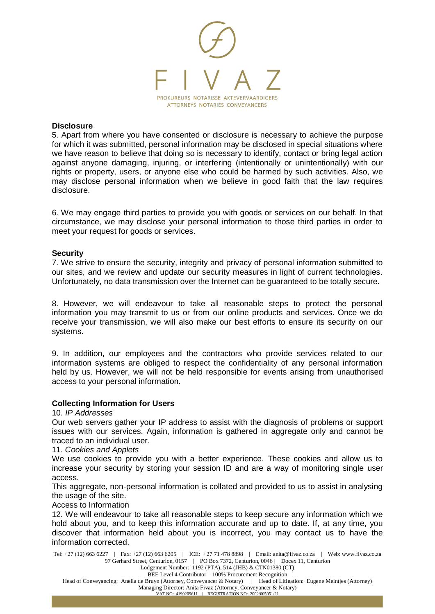

#### **Disclosure**

5. Apart from where you have consented or disclosure is necessary to achieve the purpose for which it was submitted, personal information may be disclosed in special situations where we have reason to believe that doing so is necessary to identify, contact or bring legal action against anyone damaging, injuring, or interfering (intentionally or unintentionally) with our rights or property, users, or anyone else who could be harmed by such activities. Also, we may disclose personal information when we believe in good faith that the law requires disclosure.

6. We may engage third parties to provide you with goods or services on our behalf. In that circumstance, we may disclose your personal information to those third parties in order to meet your request for goods or services.

## **Security**

7. We strive to ensure the security, integrity and privacy of personal information submitted to our sites, and we review and update our security measures in light of current technologies. Unfortunately, no data transmission over the Internet can be guaranteed to be totally secure.

8. However, we will endeavour to take all reasonable steps to protect the personal information you may transmit to us or from our online products and services. Once we do receive your transmission, we will also make our best efforts to ensure its security on our systems.

9. In addition, our employees and the contractors who provide services related to our information systems are obliged to respect the confidentiality of any personal information held by us. However, we will not be held responsible for events arising from unauthorised access to your personal information.

## **Collecting Information for Users**

10. *IP Addresses*

Our web servers gather your IP address to assist with the diagnosis of problems or support issues with our services. Again, information is gathered in aggregate only and cannot be traced to an individual user.

11. *Cookies and Applets*

We use cookies to provide you with a better experience. These cookies and allow us to increase your security by storing your session ID and are a way of monitoring single user access.

This aggregate, non-personal information is collated and provided to us to assist in analysing the usage of the site.

Access to Information

12. We will endeavour to take all reasonable steps to keep secure any information which we hold about you, and to keep this information accurate and up to date. If, at any time, you discover that information held about you is incorrect, you may contact us to have the information corrected.

Tel: +27 (12) 663 6227 | Fax: +27 (12) 663 6205 | ICE: +27 71 478 8898 | Email: anita@fivaz.co.za | Web: www.fivaz.co.za 97 Gerhard Street, Centurion, 0157 | PO Box 7372, Centurion, 0046 | Docex 11, Centurion Lodgement Number: 1192 (PTA), 514 (JHB) & CTN01380 (CT)

BEE Level 4 Contributor – 100% Procurement Recognition

Head of Conveyancing: Anelia de Bruyn (Attorney, Conveyancer & Notary) | Head of Litigation: Eugene Meintjes (Attorney)

Managing Director: Anita Fivaz (Attorney, Conveyancer & Notary) VAT NO: 4190209611 | REGISTRATION NO: 2002/005051/21